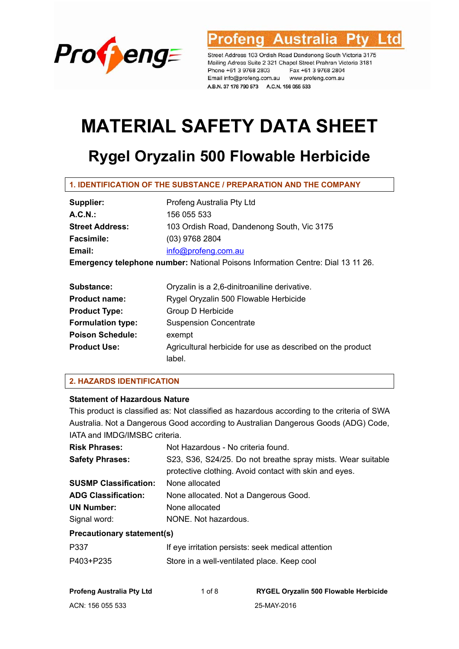

**Australia** rofena td

Street Address 103 Ordish Road Dandenong South Victoria 3175 Mailing Adress Suite 2 321 Chapel Street Prahran Victoria 3181 Phone +61 3 9768 2803 Fax +61 3 9768 2804 Email info@profeng.com.au www.profeng.com.au A.B.N. 37 178 790 573 A.C.N. 156 055 533

# **MATERIAL SAFETY DATA SHEET**

## **Rygel Oryzalin 500 Flowable Herbicide**

### **1. IDENTIFICATION OF THE SUBSTANCE / PREPARATION AND THE COMPANY**

| Supplier:                                                                              | Profeng Australia Pty Ltd                    |  |  |  |
|----------------------------------------------------------------------------------------|----------------------------------------------|--|--|--|
| A.C.N.                                                                                 | 156 055 533                                  |  |  |  |
| <b>Street Address:</b>                                                                 | 103 Ordish Road, Dandenong South, Vic 3175   |  |  |  |
| <b>Facsimile:</b>                                                                      | $(03)$ 9768 2804                             |  |  |  |
| Email:                                                                                 | info@profeng.com.au                          |  |  |  |
| <b>Emergency telephone number:</b> National Poisons Information Centre: Dial 13 11 26. |                                              |  |  |  |
|                                                                                        |                                              |  |  |  |
| Substance:                                                                             | Oryzalin is a 2,6-dinitroaniline derivative. |  |  |  |

| Supstance:               | Oryzalin is a z,o-dinitroaniline derivative.               |
|--------------------------|------------------------------------------------------------|
| <b>Product name:</b>     | Rygel Oryzalin 500 Flowable Herbicide                      |
| <b>Product Type:</b>     | Group D Herbicide                                          |
| <b>Formulation type:</b> | <b>Suspension Concentrate</b>                              |
| <b>Poison Schedule:</b>  | exempt                                                     |
| <b>Product Use:</b>      | Agricultural herbicide for use as described on the product |
|                          | label.                                                     |
|                          |                                                            |

### **2. HAZARDS IDENTIFICATION**

### **Statement of Hazardous Nature**

This product is classified as: Not classified as hazardous according to the criteria of SWA Australia. Not a Dangerous Good according to Australian Dangerous Goods (ADG) Code, IATA and IMDG/IMSBC criteria.

| <b>Risk Phrases:</b>              | Not Hazardous - No criteria found.                          |  |  |
|-----------------------------------|-------------------------------------------------------------|--|--|
| <b>Safety Phrases:</b>            | S23, S36, S24/25. Do not breathe spray mists. Wear suitable |  |  |
|                                   | protective clothing. Avoid contact with skin and eyes.      |  |  |
| <b>SUSMP Classification:</b>      | None allocated                                              |  |  |
| <b>ADG Classification:</b>        | None allocated. Not a Dangerous Good.                       |  |  |
| <b>UN Number:</b>                 | None allocated                                              |  |  |
| Signal word:                      | NONE. Not hazardous.                                        |  |  |
| <b>Precautionary statement(s)</b> |                                                             |  |  |
| P337                              | If eye irritation persists: seek medical attention          |  |  |
| P403+P235                         | Store in a well-ventilated place. Keep cool                 |  |  |

| <b>Profeng Australia Pty Ltd</b> | 1 of $8$ | <b>RYGEL Oryzalin 500 Flowable Herbicide</b> |
|----------------------------------|----------|----------------------------------------------|
| ACN: 156 055 533                 |          | 25-MAY-2016                                  |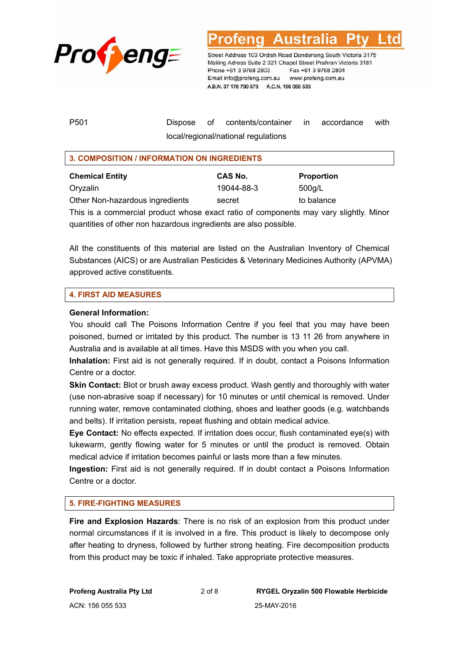

P501 Dispose of contents/container in accordance with local/regional/national regulations

#### **3. COMPOSITION / INFORMATION ON INGREDIENTS**

**CAS No.** Proportion **Proportion** Oryzalin 19044-88-3 500g/L Other Non-hazardous ingredients secret to balance

This is a commercial product whose exact ratio of components may vary slightly. Minor quantities of other non hazardous ingredients are also possible.

All the constituents of this material are listed on the Australian Inventory of Chemical Substances (AICS) or are Australian Pesticides & Veterinary Medicines Authority (APVMA) approved active constituents.

#### **4. FIRST AID MEASURES**

#### **General Information:**

You should call The Poisons Information Centre if you feel that you may have been poisoned, burned or irritated by this product. The number is 13 11 26 from anywhere in Australia and is available at all times. Have this MSDS with you when you call.

**Inhalation:** First aid is not generally required. If in doubt, contact a Poisons Information Centre or a doctor.

**Skin Contact:** Blot or brush away excess product. Wash gently and thoroughly with water (use non-abrasive soap if necessary) for 10 minutes or until chemical is removed. Under running water, remove contaminated clothing, shoes and leather goods (e.g. watchbands and belts). If irritation persists, repeat flushing and obtain medical advice.

**Eye Contact:** No effects expected. If irritation does occur, flush contaminated eye(s) with lukewarm, gently flowing water for 5 minutes or until the product is removed. Obtain medical advice if irritation becomes painful or lasts more than a few minutes.

**Ingestion:** First aid is not generally required. If in doubt contact a Poisons Information Centre or a doctor.

#### **5. FIRE-FIGHTING MEASURES**

**Fire and Explosion Hazards**: There is no risk of an explosion from this product under normal circumstances if it is involved in a fire. This product is likely to decompose only after heating to dryness, followed by further strong heating. Fire decomposition products from this product may be toxic if inhaled. Take appropriate protective measures.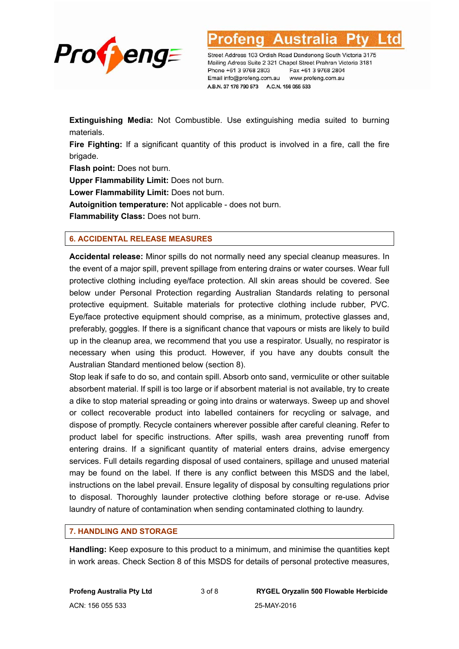

Street Address 103 Ordish Road Dandenong South Victoria 3175

Mailing Adress Suite 2 321 Chapel Street Prahran Victoria 3181 Phone +61 3 9768 2803 Fax +61 3 9768 2804 Email info@profeng.com.au www.profeng.com.au A.B.N. 37 178 790 573 A.C.N. 156 055 533

**Extinguishing Media:** Not Combustible. Use extinguishing media suited to burning materials.

**Fire Fighting:** If a significant quantity of this product is involved in a fire, call the fire brigade.

**Flash point:** Does not burn.

**Upper Flammability Limit:** Does not burn.

**Lower Flammability Limit:** Does not burn.

**Autoignition temperature:** Not applicable - does not burn.

**Flammability Class:** Does not burn.

#### **6. ACCIDENTAL RELEASE MEASURES**

**Accidental release:** Minor spills do not normally need any special cleanup measures. In the event of a major spill, prevent spillage from entering drains or water courses. Wear full protective clothing including eye/face protection. All skin areas should be covered. See below under Personal Protection regarding Australian Standards relating to personal protective equipment. Suitable materials for protective clothing include rubber, PVC. Eye/face protective equipment should comprise, as a minimum, protective glasses and, preferably, goggles. If there is a significant chance that vapours or mists are likely to build up in the cleanup area, we recommend that you use a respirator. Usually, no respirator is necessary when using this product. However, if you have any doubts consult the Australian Standard mentioned below (section 8).

Stop leak if safe to do so, and contain spill. Absorb onto sand, vermiculite or other suitable absorbent material. If spill is too large or if absorbent material is not available, try to create a dike to stop material spreading or going into drains or waterways. Sweep up and shovel or collect recoverable product into labelled containers for recycling or salvage, and dispose of promptly. Recycle containers wherever possible after careful cleaning. Refer to product label for specific instructions. After spills, wash area preventing runoff from entering drains. If a significant quantity of material enters drains, advise emergency services. Full details regarding disposal of used containers, spillage and unused material may be found on the label. If there is any conflict between this MSDS and the label, instructions on the label prevail. Ensure legality of disposal by consulting regulations prior to disposal. Thoroughly launder protective clothing before storage or re-use. Advise laundry of nature of contamination when sending contaminated clothing to laundry.

#### **7. HANDLING AND STORAGE**

**Handling:** Keep exposure to this product to a minimum, and minimise the quantities kept in work areas. Check Section 8 of this MSDS for details of personal protective measures,

ACN: 156 055 533 25-MAY-2016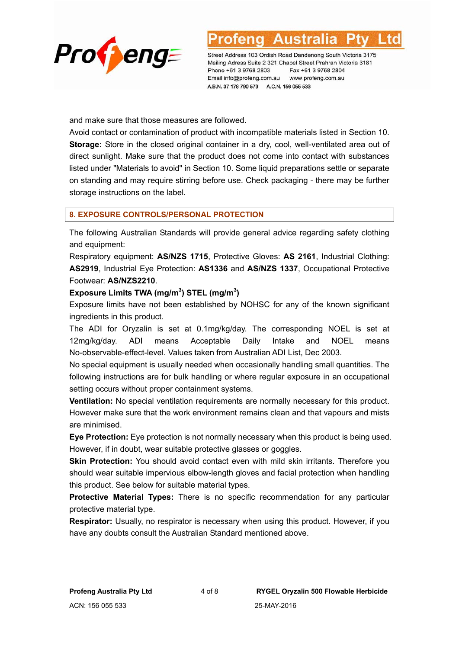

and make sure that those measures are followed.

Avoid contact or contamination of product with incompatible materials listed in Section 10. **Storage:** Store in the closed original container in a dry, cool, well-ventilated area out of direct sunlight. Make sure that the product does not come into contact with substances listed under "Materials to avoid" in Section 10. Some liquid preparations settle or separate on standing and may require stirring before use. Check packaging - there may be further storage instructions on the label.

#### **8. EXPOSURE CONTROLS/PERSONAL PROTECTION**

The following Australian Standards will provide general advice regarding safety clothing and equipment:

Respiratory equipment: **AS/NZS 1715**, Protective Gloves: **AS 2161**, Industrial Clothing: **AS2919**, Industrial Eye Protection: **AS1336** and **AS/NZS 1337**, Occupational Protective Footwear: **AS/NZS2210**.

#### **Exposure Limits TWA (mg/m<sup>3</sup> ) STEL (mg/m<sup>3</sup> )**

Exposure limits have not been established by NOHSC for any of the known significant ingredients in this product.

The ADI for Oryzalin is set at 0.1mg/kg/day. The corresponding NOEL is set at 12mg/kg/day. ADI means Acceptable Daily Intake and NOEL means No-observable-effect-level. Values taken from Australian ADI List, Dec 2003.

No special equipment is usually needed when occasionally handling small quantities. The following instructions are for bulk handling or where regular exposure in an occupational setting occurs without proper containment systems.

**Ventilation:** No special ventilation requirements are normally necessary for this product. However make sure that the work environment remains clean and that vapours and mists are minimised.

**Eye Protection:** Eye protection is not normally necessary when this product is being used. However, if in doubt, wear suitable protective glasses or goggles.

**Skin Protection:** You should avoid contact even with mild skin irritants. Therefore you should wear suitable impervious elbow-length gloves and facial protection when handling this product. See below for suitable material types.

**Protective Material Types:** There is no specific recommendation for any particular protective material type.

**Respirator:** Usually, no respirator is necessary when using this product. However, if you have any doubts consult the Australian Standard mentioned above.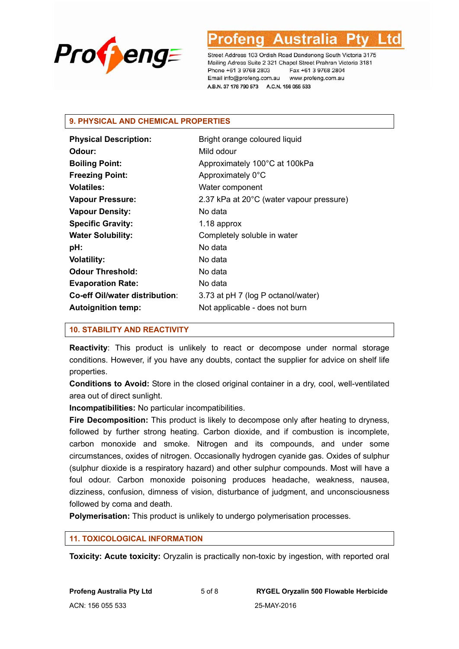

### **9. PHYSICAL AND CHEMICAL PROPERTIES**

| <b>Physical Description:</b>   | Bright orange coloured liquid            |
|--------------------------------|------------------------------------------|
| Odour:                         | Mild odour                               |
| <b>Boiling Point:</b>          | Approximately 100°C at 100kPa            |
| <b>Freezing Point:</b>         | Approximately 0°C                        |
| <b>Volatiles:</b>              | Water component                          |
| <b>Vapour Pressure:</b>        | 2.37 kPa at 20°C (water vapour pressure) |
| <b>Vapour Density:</b>         | No data                                  |
| <b>Specific Gravity:</b>       | 1.18 approx                              |
| <b>Water Solubility:</b>       | Completely soluble in water              |
| pH:                            | No data                                  |
| <b>Volatility:</b>             | No data                                  |
| <b>Odour Threshold:</b>        | No data                                  |
| <b>Evaporation Rate:</b>       | No data                                  |
| Co-eff Oil/water distribution: | 3.73 at pH 7 (log P octanol/water)       |
| <b>Autoignition temp:</b>      | Not applicable - does not burn           |

#### **10. STABILITY AND REACTIVITY**

**Reactivity**: This product is unlikely to react or decompose under normal storage conditions. However, if you have any doubts, contact the supplier for advice on shelf life properties.

**Conditions to Avoid:** Store in the closed original container in a dry, cool, well-ventilated area out of direct sunlight.

**Incompatibilities:** No particular incompatibilities.

**Fire Decomposition:** This product is likely to decompose only after heating to dryness, followed by further strong heating. Carbon dioxide, and if combustion is incomplete, carbon monoxide and smoke. Nitrogen and its compounds, and under some circumstances, oxides of nitrogen. Occasionally hydrogen cyanide gas. Oxides of sulphur (sulphur dioxide is a respiratory hazard) and other sulphur compounds. Most will have a foul odour. Carbon monoxide poisoning produces headache, weakness, nausea, dizziness, confusion, dimness of vision, disturbance of judgment, and unconsciousness followed by coma and death.

**Polymerisation:** This product is unlikely to undergo polymerisation processes.

#### **11. TOXICOLOGICAL INFORMATION**

**Toxicity: Acute toxicity:** Oryzalin is practically non-toxic by ingestion, with reported oral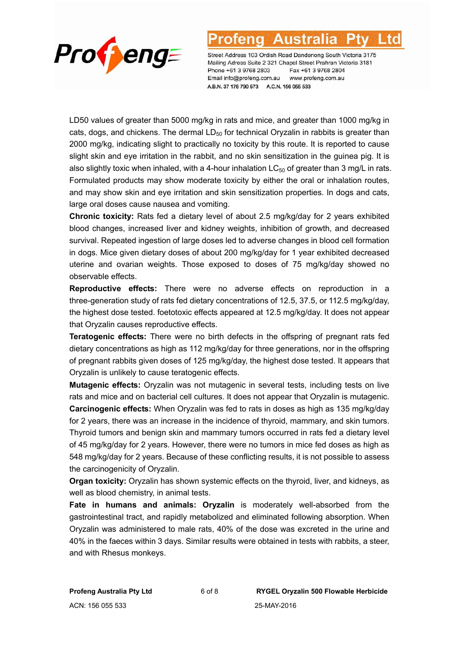

### Austra

Street Address 103 Ordish Road Dandenong South Victoria 3175 Mailing Adress Suite 2 321 Chapel Street Prahran Victoria 3181 Phone +61 3 9768 2803 Fax +61 3 9768 2804 Email info@profeng.com.au www.profeng.com.au A.B.N. 37 178 790 573 A.C.N. 156 055 533

LD50 values of greater than 5000 mg/kg in rats and mice, and greater than 1000 mg/kg in cats, dogs, and chickens. The dermal  $LD_{50}$  for technical Oryzalin in rabbits is greater than 2000 mg/kg, indicating slight to practically no toxicity by this route. It is reported to cause slight skin and eye irritation in the rabbit, and no skin sensitization in the guinea pig. It is also slightly toxic when inhaled, with a 4-hour inhalation  $LC_{50}$  of greater than 3 mg/L in rats. Formulated products may show moderate toxicity by either the oral or inhalation routes, and may show skin and eye irritation and skin sensitization properties. In dogs and cats, large oral doses cause nausea and vomiting.

**Chronic toxicity:** Rats fed a dietary level of about 2.5 mg/kg/day for 2 years exhibited blood changes, increased liver and kidney weights, inhibition of growth, and decreased survival. Repeated ingestion of large doses led to adverse changes in blood cell formation in dogs. Mice given dietary doses of about 200 mg/kg/day for 1 year exhibited decreased uterine and ovarian weights. Those exposed to doses of 75 mg/kg/day showed no observable effects.

**Reproductive effects:** There were no adverse effects on reproduction in a three-generation study of rats fed dietary concentrations of 12.5, 37.5, or 112.5 mg/kg/day, the highest dose tested. foetotoxic effects appeared at 12.5 mg/kg/day. It does not appear that Oryzalin causes reproductive effects.

**Teratogenic effects:** There were no birth defects in the offspring of pregnant rats fed dietary concentrations as high as 112 mg/kg/day for three generations, nor in the offspring of pregnant rabbits given doses of 125 mg/kg/day, the highest dose tested. It appears that Oryzalin is unlikely to cause teratogenic effects.

**Mutagenic effects:** Oryzalin was not mutagenic in several tests, including tests on live rats and mice and on bacterial cell cultures. It does not appear that Oryzalin is mutagenic. **Carcinogenic effects:** When Oryzalin was fed to rats in doses as high as 135 mg/kg/day for 2 years, there was an increase in the incidence of thyroid, mammary, and skin tumors. Thyroid tumors and benign skin and mammary tumors occurred in rats fed a dietary level of 45 mg/kg/day for 2 years. However, there were no tumors in mice fed doses as high as 548 mg/kg/day for 2 years. Because of these conflicting results, it is not possible to assess the carcinogenicity of Oryzalin.

**Organ toxicity:** Oryzalin has shown systemic effects on the thyroid, liver, and kidneys, as well as blood chemistry, in animal tests.

**Fate in humans and animals: Oryzalin** is moderately well-absorbed from the gastrointestinal tract, and rapidly metabolized and eliminated following absorption. When Oryzalin was administered to male rats, 40% of the dose was excreted in the urine and 40% in the faeces within 3 days. Similar results were obtained in tests with rabbits, a steer, and with Rhesus monkeys.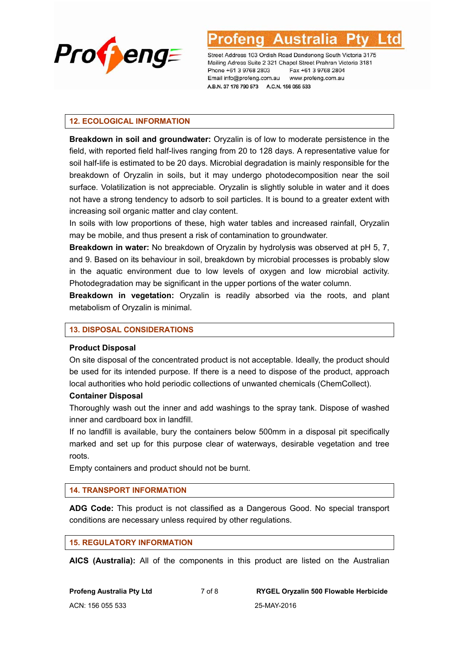

#### **12. ECOLOGICAL INFORMATION**

**Breakdown in soil and groundwater:** Oryzalin is of low to moderate persistence in the field, with reported field half-lives ranging from 20 to 128 days. A representative value for soil half-life is estimated to be 20 days. Microbial degradation is mainly responsible for the breakdown of Oryzalin in soils, but it may undergo photodecomposition near the soil surface. Volatilization is not appreciable. Oryzalin is slightly soluble in water and it does not have a strong tendency to adsorb to soil particles. It is bound to a greater extent with increasing soil organic matter and clay content.

In soils with low proportions of these, high water tables and increased rainfall, Oryzalin may be mobile, and thus present a risk of contamination to groundwater.

**Breakdown in water:** No breakdown of Oryzalin by hydrolysis was observed at pH 5, 7, and 9. Based on its behaviour in soil, breakdown by microbial processes is probably slow in the aquatic environment due to low levels of oxygen and low microbial activity. Photodegradation may be significant in the upper portions of the water column.

**Breakdown in vegetation:** Oryzalin is readily absorbed via the roots, and plant metabolism of Oryzalin is minimal.

#### **13. DISPOSAL CONSIDERATIONS**

#### **Product Disposal**

On site disposal of the concentrated product is not acceptable. Ideally, the product should be used for its intended purpose. If there is a need to dispose of the product, approach local authorities who hold periodic collections of unwanted chemicals (ChemCollect).

#### **Container Disposal**

Thoroughly wash out the inner and add washings to the spray tank. Dispose of washed inner and cardboard box in landfill.

If no landfill is available, bury the containers below 500mm in a disposal pit specifically marked and set up for this purpose clear of waterways, desirable vegetation and tree roots.

Empty containers and product should not be burnt.

#### **14. TRANSPORT INFORMATION**

**ADG Code:** This product is not classified as a Dangerous Good. No special transport conditions are necessary unless required by other regulations.

#### **15. REGULATORY INFORMATION**

**AICS (Australia):** All of the components in this product are listed on the Australian